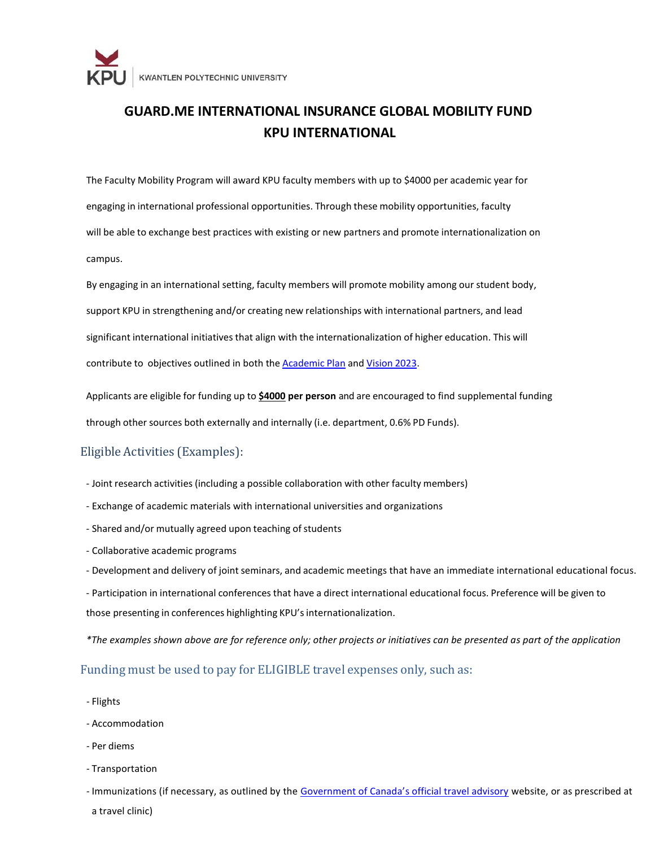

# **GUARD.ME INTERNATIONAL INSURANCE GLOBAL MOBILITY FUND KPU INTERNATIONAL**

The Faculty Mobility Program will award KPU faculty members with up to \$4000 per academic year for engaging in international professional opportunities. Through these mobility opportunities, faculty will be able to exchange best practices with existing or new partners and promote internationalization on campus.

By engaging in an international setting, faculty members will promote mobility among our student body, support KPU in strengthening and/or creating new relationships with international partners, and lead significant international initiativesthat align with the internationalization of higher education. This will contribute to objectives outlined in both the **[Academic](https://www.kpu.ca/vp-academic/academic-plan-2023) Plan and [Vision](https://www.kpu.ca/sites/default/files/Institutional%20Analysis%20and%20Planning/Vision%202023%20Final%20May%2017.pdf) 2023**.

Applicants are eligible for funding up to **\$4000 per person** and are encouraged to find supplemental funding through other sources both externally and internally (i.e. department, 0.6% PD Funds).

# Eligible Activities (Examples):

- Joint research activities (including a possible collaboration with other faculty members)
- Exchange of academic materials with international universities and organizations
- Shared and/or mutually agreed upon teaching of students
- Collaborative academic programs
- Development and delivery of joint seminars, and academic meetings that have an immediate international educational focus.
- Participation in international conferences that have a direct international educational focus. Preference will be given to those presenting in conferences highlighting KPU's internationalization.

*\*The examples shown above are for reference only; other projects or initiatives can be presented as part of the application*

# Funding must be used to pay for ELIGIBLE travel expenses only, such as:

- Flights
- Accommodation
- Per diems
- Transportation

- Immunizations (if necessary, as outlined by the [Government of Canada's official travel advisory](https://travel.gc.ca/travelling/advisories) website, or as prescribed at a travel clinic)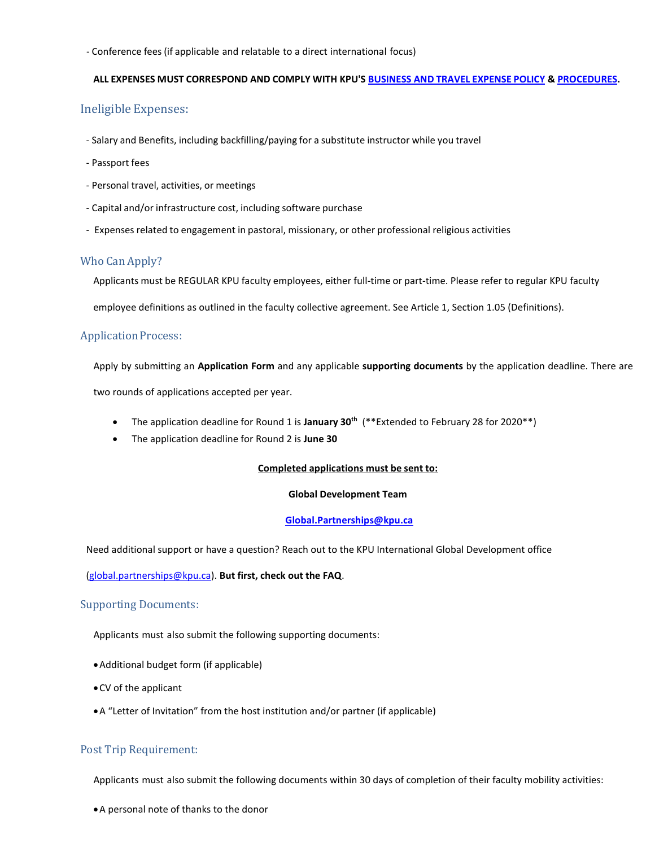- Conference fees (if applicable and relatable to a direct international focus)

#### **ALL EXPENSES MUST CORRESPOND AND COMPLY WITH KPU'S [BUSINESS AND](https://www.kpu.ca/sites/default/files/Policies/FM5%20Business%20and%20Travel%20Expense%20Policy.pdf) TRAVEL EXPENSE POLICY [& PROCEDURES.](https://www.kpu.ca/sites/default/files/Policies/FM5%20Business%20and%20Travel%20Expense%20Procedures.pdf)**

# Ineligible Expenses:

- Salary and Benefits, including backfilling/paying for a substitute instructor while you travel
- Passport fees
- Personal travel, activities, or meetings
- Capital and/or infrastructure cost, including software purchase
- Expenses related to engagement in pastoral, missionary, or other professional religious activities

# Who Can Apply?

Applicants must be REGULAR KPU faculty employees, either full-time or part-time. Please refer to regular KPU faculty

employee definitions as outlined in the faculty collective agreement. See Article 1, Section 1.05 (Definitions).

# **Application Process:**

Apply by submitting an **Application Form** and any applicable **supporting documents** by the application deadline. There are two rounds of applications accepted per year.

- The application deadline for Round 1 is **January 30th** (\*\*Extended to February 28 for 2020\*\*)
- The application deadline for Round 2 is **June 30**

#### **Completed applications must be sent to:**

#### **Global Development Team**

#### **[Global.Partnerships@kpu.ca](mailto:Global.Partnerships@kpu.ca)**

Need additional support or have a question? Reach out to the KPU International Global Development office

# [\(global.partnerships@kpu.ca\)](mailto:global.partnerships@kpu.ca). **But first, check out the FAQ**.

#### Supporting Documents:

Applicants must also submit the following supporting documents:

- Additional budget form (if applicable)
- CV of the applicant
- A "Letter of Invitation" from the host institution and/or partner (if applicable)

# Post Trip Requirement:

Applicants must also submit the following documents within 30 days of completion of their faculty mobility activities:

A personal note of thanks to the donor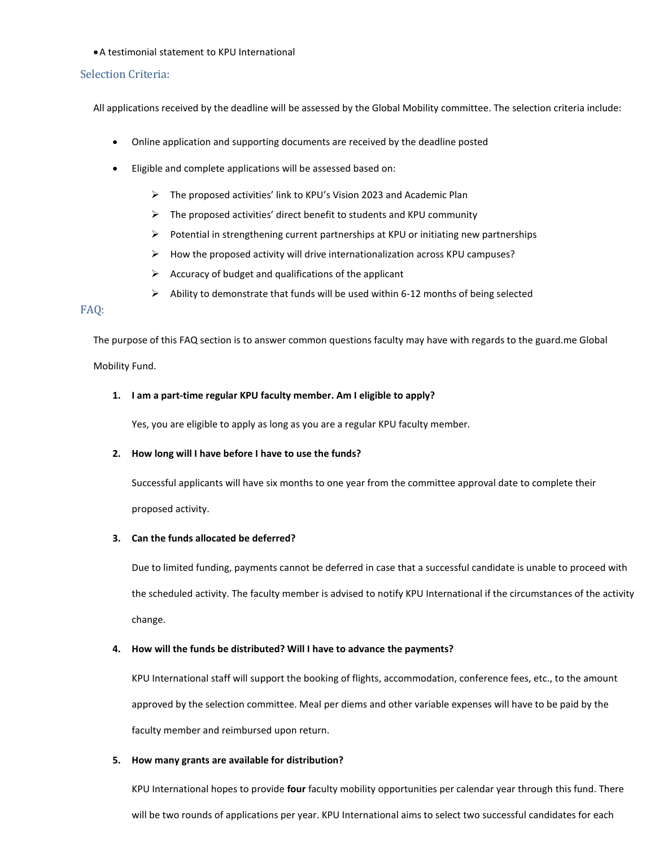#### A testimonial statement to KPU International

#### Selection Criteria:

All applications received by the deadline will be assessed by the Global Mobility committee. The selection criteria include:

- Online application and supporting documents are received by the deadline posted
- Eligible and complete applications will be assessed based on:
	- The proposed activities' link to KPU's Vision 2023 and Academic Plan
	- $\triangleright$  The proposed activities' direct benefit to students and KPU community
	- $\triangleright$  Potential in strengthening current partnerships at KPU or initiating new partnerships
	- $\triangleright$  How the proposed activity will drive internationalization across KPU campuses?
	- $\triangleright$  Accuracy of budget and qualifications of the applicant
	- $\triangleright$  Ability to demonstrate that funds will be used within 6-12 months of being selected

# FAQ:

The purpose of this FAQ section is to answer common questions faculty may have with regards to the guard.me Global Mobility Fund.

# **1. I am a part-time regular KPU faculty member. Am I eligible to apply?**

Yes, you are eligible to apply as long as you are a regular KPU faculty member.

# **2. How long will I have before I have to use the funds?**

Successful applicants will have six months to one year from the committee approval date to complete their proposed activity.

# **3. Can the funds allocated be deferred?**

Due to limited funding, payments cannot be deferred in case that a successful candidate is unable to proceed with the scheduled activity. The faculty member is advised to notify KPU International if the circumstances of the activity change.

# **4. How will the funds be distributed? Will I have to advance the payments?**

KPU International staff will support the booking of flights, accommodation, conference fees, etc., to the amount approved by the selection committee. Meal per diems and other variable expenses will have to be paid by the faculty member and reimbursed upon return.

#### **5. How many grants are available for distribution?**

KPU International hopes to provide **four** faculty mobility opportunities per calendar year through this fund. There will be two rounds of applications per year. KPU International aims to select two successful candidates for each